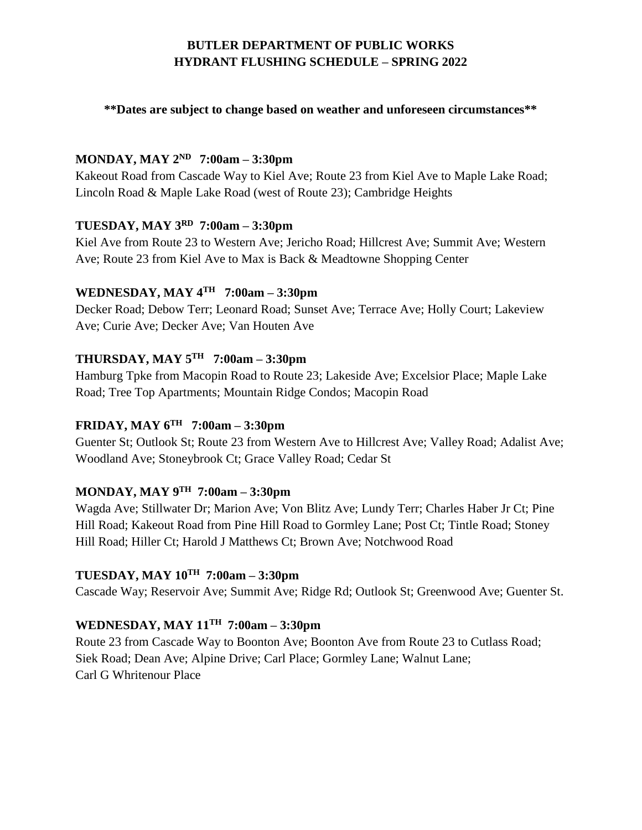## **BUTLER DEPARTMENT OF PUBLIC WORKS HYDRANT FLUSHING SCHEDULE – SPRING 2022**

#### **\*\*Dates are subject to change based on weather and unforeseen circumstances\*\***

## **MONDAY, MAY 2ND 7:00am – 3:30pm**

Kakeout Road from Cascade Way to Kiel Ave; Route 23 from Kiel Ave to Maple Lake Road; Lincoln Road & Maple Lake Road (west of Route 23); Cambridge Heights

### **TUESDAY, MAY 3RD 7:00am – 3:30pm**

Kiel Ave from Route 23 to Western Ave; Jericho Road; Hillcrest Ave; Summit Ave; Western Ave; Route 23 from Kiel Ave to Max is Back & Meadtowne Shopping Center

## **WEDNESDAY, MAY 4TH 7:00am – 3:30pm**

Decker Road; Debow Terr; Leonard Road; Sunset Ave; Terrace Ave; Holly Court; Lakeview Ave; Curie Ave; Decker Ave; Van Houten Ave

### **THURSDAY, MAY 5TH 7:00am – 3:30pm**

Hamburg Tpke from Macopin Road to Route 23; Lakeside Ave; Excelsior Place; Maple Lake Road; Tree Top Apartments; Mountain Ridge Condos; Macopin Road

## **FRIDAY, MAY 6TH 7:00am – 3:30pm**

Guenter St; Outlook St; Route 23 from Western Ave to Hillcrest Ave; Valley Road; Adalist Ave; Woodland Ave; Stoneybrook Ct; Grace Valley Road; Cedar St

#### **MONDAY, MAY 9TH 7:00am – 3:30pm**

Wagda Ave; Stillwater Dr; Marion Ave; Von Blitz Ave; Lundy Terr; Charles Haber Jr Ct; Pine Hill Road; Kakeout Road from Pine Hill Road to Gormley Lane; Post Ct; Tintle Road; Stoney Hill Road; Hiller Ct; Harold J Matthews Ct; Brown Ave; Notchwood Road

## **TUESDAY, MAY 10TH 7:00am – 3:30pm**

Cascade Way; Reservoir Ave; Summit Ave; Ridge Rd; Outlook St; Greenwood Ave; Guenter St.

# **WEDNESDAY, MAY 11TH 7:00am – 3:30pm**

Route 23 from Cascade Way to Boonton Ave; Boonton Ave from Route 23 to Cutlass Road; Siek Road; Dean Ave; Alpine Drive; Carl Place; Gormley Lane; Walnut Lane; Carl G Whritenour Place